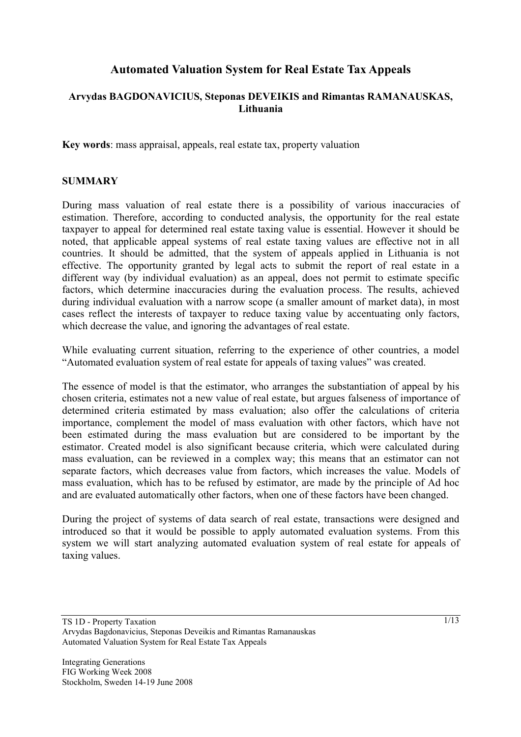# **Automated Valuation System for Real Estate Tax Appeals**

### **Arvydas BAGDONAVICIUS, Steponas DEVEIKIS and Rimantas RAMANAUSKAS, Lithuania**

**Key words**: mass appraisal, appeals, real estate tax, property valuation

#### **SUMMARY**

During mass valuation of real estate there is a possibility of various inaccuracies of estimation. Therefore, according to conducted analysis, the opportunity for the real estate taxpayer to appeal for determined real estate taxing value is essential. However it should be noted, that applicable appeal systems of real estate taxing values are effective not in all countries. It should be admitted, that the system of appeals applied in Lithuania is not effective. The opportunity granted by legal acts to submit the report of real estate in a different way (by individual evaluation) as an appeal, does not permit to estimate specific factors, which determine inaccuracies during the evaluation process. The results, achieved during individual evaluation with a narrow scope (a smaller amount of market data), in most cases reflect the interests of taxpayer to reduce taxing value by accentuating only factors, which decrease the value, and ignoring the advantages of real estate.

While evaluating current situation, referring to the experience of other countries, a model "Automated evaluation system of real estate for appeals of taxing values" was created.

The essence of model is that the estimator, who arranges the substantiation of appeal by his chosen criteria, estimates not a new value of real estate, but argues falseness of importance of determined criteria estimated by mass evaluation; also offer the calculations of criteria importance, complement the model of mass evaluation with other factors, which have not been estimated during the mass evaluation but are considered to be important by the estimator. Created model is also significant because criteria, which were calculated during mass evaluation, can be reviewed in a complex way; this means that an estimator can not separate factors, which decreases value from factors, which increases the value. Models of mass evaluation, which has to be refused by estimator, are made by the principle of Ad hoc and are evaluated automatically other factors, when one of these factors have been changed.

During the project of systems of data search of real estate, transactions were designed and introduced so that it would be possible to apply automated evaluation systems. From this system we will start analyzing automated evaluation system of real estate for appeals of taxing values.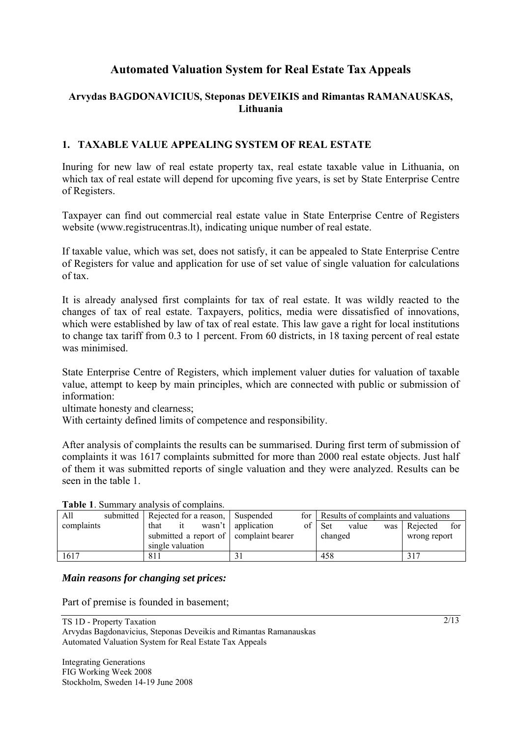# **Automated Valuation System for Real Estate Tax Appeals**

### **Arvydas BAGDONAVICIUS, Steponas DEVEIKIS and Rimantas RAMANAUSKAS, Lithuania**

### **1. TAXABLE VALUE APPEALING SYSTEM OF REAL ESTATE**

Inuring for new law of real estate property tax, real estate taxable value in Lithuania, on which tax of real estate will depend for upcoming five years, is set by State Enterprise Centre of Registers.

Taxpayer can find out commercial real estate value in State Enterprise Centre of Registers website (www.registrucentras.lt), indicating unique number of real estate.

If taxable value, which was set, does not satisfy, it can be appealed to State Enterprise Centre of Registers for value and application for use of set value of single valuation for calculations of tax.

It is already analysed first complaints for tax of real estate. It was wildly reacted to the changes of tax of real estate. Taxpayers, politics, media were dissatisfied of innovations, which were established by law of tax of real estate. This law gave a right for local institutions to change tax tariff from 0.3 to 1 percent. From 60 districts, in 18 taxing percent of real estate was minimised.

State Enterprise Centre of Registers, which implement valuer duties for valuation of taxable value, attempt to keep by main principles, which are connected with public or submission of information:

ultimate honesty and clearness;

With certainty defined limits of competence and responsibility.

After analysis of complaints the results can be summarised. During first term of submission of complaints it was 1617 complaints submitted for more than 2000 real estate objects. Just half of them it was submitted reports of single valuation and they were analyzed. Results can be seen in the table 1.

| <b>Table 1.</b> Building validivists of complains. |  |                                        |  |           |                      |                                          |            |       |              |                |     |
|----------------------------------------------------|--|----------------------------------------|--|-----------|----------------------|------------------------------------------|------------|-------|--------------|----------------|-----|
| All                                                |  | submitted   Rejected for a reason,     |  | Suspended |                      | for Results of complaints and valuations |            |       |              |                |     |
| complaints                                         |  | that                                   |  |           | wasn't   application | of                                       | <b>Set</b> | value |              | was   Rejected | for |
|                                                    |  | submitted a report of complaint bearer |  |           |                      | changed                                  |            |       | wrong report |                |     |
|                                                    |  | single valuation                       |  |           |                      |                                          |            |       |              |                |     |
| 1617                                               |  | 811                                    |  |           |                      |                                          | 458        |       |              |                |     |

## **Table 1**. Summary analysis of complains.

#### *Main reasons for changing set prices:*

Part of premise is founded in basement;

TS 1D - Property Taxation Arvydas Bagdonavicius, Steponas Deveikis and Rimantas Ramanauskas Automated Valuation System for Real Estate Tax Appeals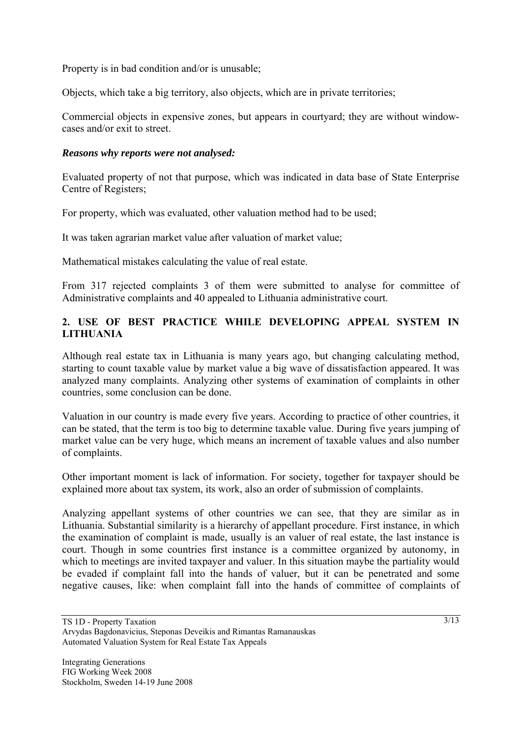Property is in bad condition and/or is unusable;

Objects, which take a big territory, also objects, which are in private territories;

Commercial objects in expensive zones, but appears in courtyard; they are without windowcases and/or exit to street.

#### *Reasons why reports were not analysed:*

Evaluated property of not that purpose, which was indicated in data base of State Enterprise Centre of Registers;

For property, which was evaluated, other valuation method had to be used;

It was taken agrarian market value after valuation of market value;

Mathematical mistakes calculating the value of real estate.

From 317 rejected complaints 3 of them were submitted to analyse for committee of Administrative complaints and 40 appealed to Lithuania administrative court.

### **2. USE OF BEST PRACTICE WHILE DEVELOPING APPEAL SYSTEM IN LITHUANIA**

Although real estate tax in Lithuania is many years ago, but changing calculating method, starting to count taxable value by market value a big wave of dissatisfaction appeared. It was analyzed many complaints. Analyzing other systems of examination of complaints in other countries, some conclusion can be done.

Valuation in our country is made every five years. According to practice of other countries, it can be stated, that the term is too big to determine taxable value. During five years jumping of market value can be very huge, which means an increment of taxable values and also number of complaints.

Other important moment is lack of information. For society, together for taxpayer should be explained more about tax system, its work, also an order of submission of complaints.

Analyzing appellant systems of other countries we can see, that they are similar as in Lithuania. Substantial similarity is a hierarchy of appellant procedure. First instance, in which the examination of complaint is made, usually is an valuer of real estate, the last instance is court. Though in some countries first instance is a committee organized by autonomy, in which to meetings are invited taxpayer and valuer. In this situation maybe the partiality would be evaded if complaint fall into the hands of valuer, but it can be penetrated and some negative causes, like: when complaint fall into the hands of committee of complaints of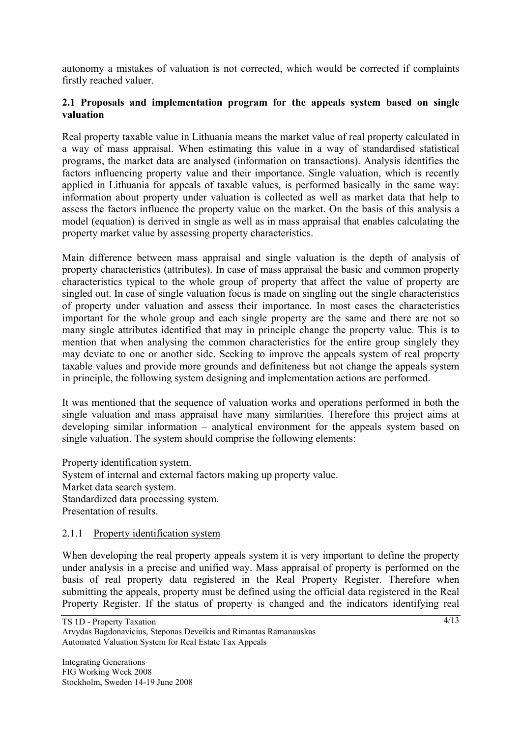autonomy a mistakes of valuation is not corrected, which would be corrected if complaints firstly reached valuer.

#### **2.1 Proposals and implementation program for the appeals system based on single valuation**

Real property taxable value in Lithuania means the market value of real property calculated in a way of mass appraisal. When estimating this value in a way of standardised statistical programs, the market data are analysed (information on transactions). Analysis identifies the factors influencing property value and their importance. Single valuation, which is recently applied in Lithuania for appeals of taxable values, is performed basically in the same way: information about property under valuation is collected as well as market data that help to assess the factors influence the property value on the market. On the basis of this analysis a model (equation) is derived in single as well as in mass appraisal that enables calculating the property market value by assessing property characteristics.

Main difference between mass appraisal and single valuation is the depth of analysis of property characteristics (attributes). In case of mass appraisal the basic and common property characteristics typical to the whole group of property that affect the value of property are singled out. In case of single valuation focus is made on singling out the single characteristics of property under valuation and assess their importance. In most cases the characteristics important for the whole group and each single property are the same and there are not so many single attributes identified that may in principle change the property value. This is to mention that when analysing the common characteristics for the entire group singlely they may deviate to one or another side. Seeking to improve the appeals system of real property taxable values and provide more grounds and definiteness but not change the appeals system in principle, the following system designing and implementation actions are performed.

It was mentioned that the sequence of valuation works and operations performed in both the single valuation and mass appraisal have many similarities. Therefore this project aims at developing similar information – analytical environment for the appeals system based on single valuation. The system should comprise the following elements:

Property identification system. System of internal and external factors making up property value. Market data search system. Standardized data processing system. Presentation of results.

#### 2.1.1 Property identification system

When developing the real property appeals system it is very important to define the property under analysis in a precise and unified way. Mass appraisal of property is performed on the basis of real property data registered in the Real Property Register. Therefore when submitting the appeals, property must be defined using the official data registered in the Real Property Register. If the status of property is changed and the indicators identifying real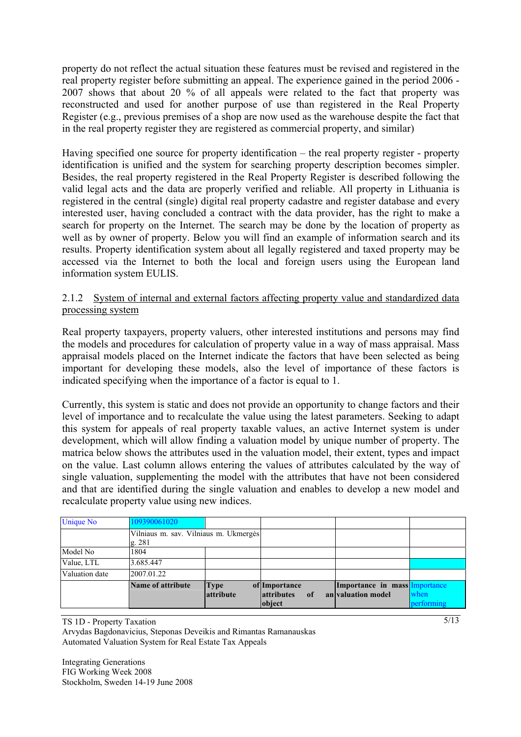property do not reflect the actual situation these features must be revised and registered in the real property register before submitting an appeal. The experience gained in the period 2006 - 2007 shows that about 20 % of all appeals were related to the fact that property was reconstructed and used for another purpose of use than registered in the Real Property Register (e.g., previous premises of a shop are now used as the warehouse despite the fact that in the real property register they are registered as commercial property, and similar)

Having specified one source for property identification – the real property register - property identification is unified and the system for searching property description becomes simpler. Besides, the real property registered in the Real Property Register is described following the valid legal acts and the data are properly verified and reliable. All property in Lithuania is registered in the central (single) digital real property cadastre and register database and every interested user, having concluded a contract with the data provider, has the right to make a search for property on the Internet. The search may be done by the location of property as well as by owner of property. Below you will find an example of information search and its results. Property identification system about all legally registered and taxed property may be accessed via the Internet to both the local and foreign users using the European land information system EULIS.

#### 2.1.2 System of internal and external factors affecting property value and standardized data processing system

Real property taxpayers, property valuers, other interested institutions and persons may find the models and procedures for calculation of property value in a way of mass appraisal. Mass appraisal models placed on the Internet indicate the factors that have been selected as being important for developing these models, also the level of importance of these factors is indicated specifying when the importance of a factor is equal to 1.

Currently, this system is static and does not provide an opportunity to change factors and their level of importance and to recalculate the value using the latest parameters. Seeking to adapt this system for appeals of real property taxable values, an active Internet system is under development, which will allow finding a valuation model by unique number of property. The matrica below shows the attributes used in the valuation model, their extent, types and impact on the value. Last column allows entering the values of attributes calculated by the way of single valuation, supplementing the model with the attributes that have not been considered and that are identified during the single valuation and enables to develop a new model and recalculate property value using new indices.

| <b>Unique No</b> | 109390061020                                    |                   |                                                               |                                                     |                    |
|------------------|-------------------------------------------------|-------------------|---------------------------------------------------------------|-----------------------------------------------------|--------------------|
|                  | Vilniaus m. sav. Vilniaus m. Ukmergės<br>g. 281 |                   |                                                               |                                                     |                    |
| Model No         | 1804                                            |                   |                                                               |                                                     |                    |
| Value, LTL       | 3.685.447                                       |                   |                                                               |                                                     |                    |
| Valuation date   | 2007.01.22                                      |                   |                                                               |                                                     |                    |
|                  | Name of attribute                               | Type<br>attribute | of Importance<br><b>attributes</b><br><sup>of</sup><br>object | Importance in mass Importance<br>an valuation model | when<br>performing |

TS 1D - Property Taxation Arvydas Bagdonavicius, Steponas Deveikis and Rimantas Ramanauskas Automated Valuation System for Real Estate Tax Appeals

Integrating Generations FIG Working Week 2008 Stockholm, Sweden 14-19 June 2008  $\sqrt{5/13}$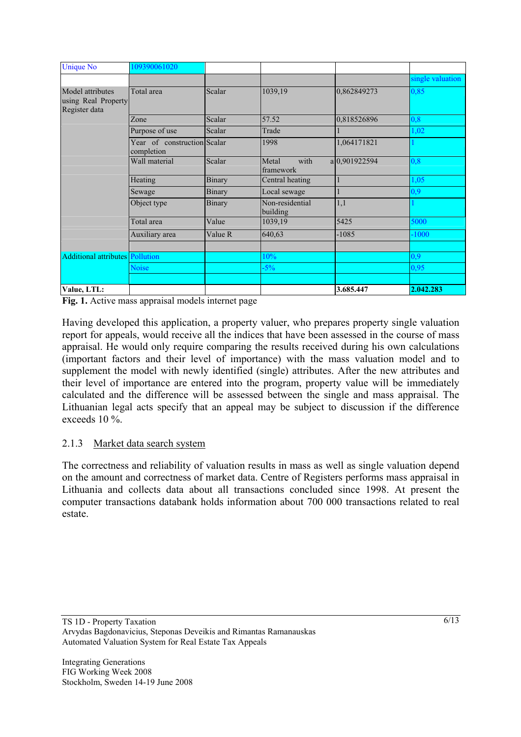| <b>Unique No</b>                                         | 109390061020                              |               |                             |               |                  |
|----------------------------------------------------------|-------------------------------------------|---------------|-----------------------------|---------------|------------------|
|                                                          |                                           |               |                             |               | single valuation |
| Model attributes<br>using Real Property<br>Register data | Total area                                | Scalar        | 1039,19                     | 0,862849273   | 0,85             |
|                                                          | Zone                                      | Scalar        | 57.52                       | 0,818526896   | 0,8              |
|                                                          | Purpose of use                            | Scalar        | Trade                       |               | 1,02             |
|                                                          | Year of construction Scalar<br>completion |               | 1998                        | 1,064171821   |                  |
|                                                          | Wall material                             | Scalar        | Metal<br>with<br>framework  | a 0,901922594 | 0,8              |
|                                                          | Heating                                   | <b>Binary</b> | Central heating             |               | 1,05             |
|                                                          | Sewage                                    | Binary        | Local sewage                |               | 0,9              |
|                                                          | Object type                               | <b>Binary</b> | Non-residential<br>building | 1,1           |                  |
|                                                          | Total area                                | Value         | 1039,19                     | 5425          | 5000             |
|                                                          | Auxiliary area                            | Value R       | 640,63                      | $-1085$       | $-1000$          |
|                                                          |                                           |               |                             |               |                  |
| <b>Additional attributes Pollution</b>                   |                                           |               | 10%                         |               | 0,9              |
|                                                          | Noise                                     |               | $-5%$                       |               | 0,95             |
|                                                          |                                           |               |                             |               |                  |
| Value, LTL:                                              |                                           |               |                             | 3.685.447     | 2.042.283        |

**Fig. 1.** Active mass appraisal models internet page

Having developed this application, a property valuer, who prepares property single valuation report for appeals, would receive all the indices that have been assessed in the course of mass appraisal. He would only require comparing the results received during his own calculations (important factors and their level of importance) with the mass valuation model and to supplement the model with newly identified (single) attributes. After the new attributes and their level of importance are entered into the program, property value will be immediately calculated and the difference will be assessed between the single and mass appraisal. The Lithuanian legal acts specify that an appeal may be subject to discussion if the difference exceeds 10 %.

#### 2.1.3 Market data search system

The correctness and reliability of valuation results in mass as well as single valuation depend on the amount and correctness of market data. Centre of Registers performs mass appraisal in Lithuania and collects data about all transactions concluded since 1998. At present the computer transactions databank holds information about 700 000 transactions related to real estate.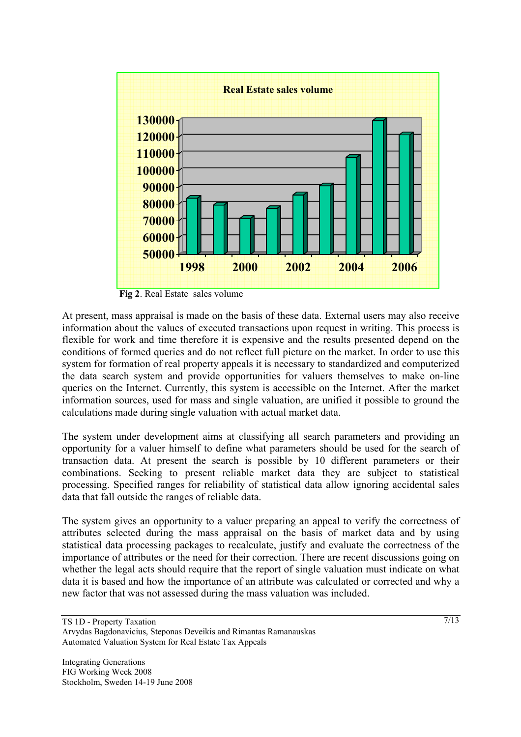

**Fig 2**. Real Estate sales volume

At present, mass appraisal is made on the basis of these data. External users may also receive information about the values of executed transactions upon request in writing. This process is flexible for work and time therefore it is expensive and the results presented depend on the conditions of formed queries and do not reflect full picture on the market. In order to use this system for formation of real property appeals it is necessary to standardized and computerized the data search system and provide opportunities for valuers themselves to make on-line queries on the Internet. Currently, this system is accessible on the Internet. After the market information sources, used for mass and single valuation, are unified it possible to ground the calculations made during single valuation with actual market data.

The system under development aims at classifying all search parameters and providing an opportunity for a valuer himself to define what parameters should be used for the search of transaction data. At present the search is possible by 10 different parameters or their combinations. Seeking to present reliable market data they are subject to statistical processing. Specified ranges for reliability of statistical data allow ignoring accidental sales data that fall outside the ranges of reliable data.

The system gives an opportunity to a valuer preparing an appeal to verify the correctness of attributes selected during the mass appraisal on the basis of market data and by using statistical data processing packages to recalculate, justify and evaluate the correctness of the importance of attributes or the need for their correction. There are recent discussions going on whether the legal acts should require that the report of single valuation must indicate on what data it is based and how the importance of an attribute was calculated or corrected and why a new factor that was not assessed during the mass valuation was included.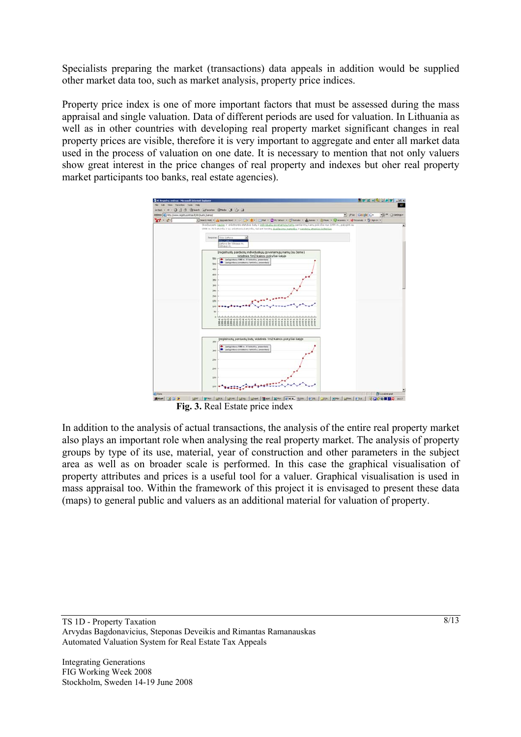Specialists preparing the market (transactions) data appeals in addition would be supplied other market data too, such as market analysis, property price indices.

Property price index is one of more important factors that must be assessed during the mass appraisal and single valuation. Data of different periods are used for valuation. In Lithuania as well as in other countries with developing real property market significant changes in real property prices are visible, therefore it is very important to aggregate and enter all market data used in the process of valuation on one date. It is necessary to mention that not only valuers show great interest in the price changes of real property and indexes but oher real property market participants too banks, real estate agencies).



**Fig. 3.** Real Estate price index

In addition to the analysis of actual transactions, the analysis of the entire real property market also plays an important role when analysing the real property market. The analysis of property groups by type of its use, material, year of construction and other parameters in the subject area as well as on broader scale is performed. In this case the graphical visualisation of property attributes and prices is a useful tool for a valuer. Graphical visualisation is used in mass appraisal too. Within the framework of this project it is envisaged to present these data (maps) to general public and valuers as an additional material for valuation of property.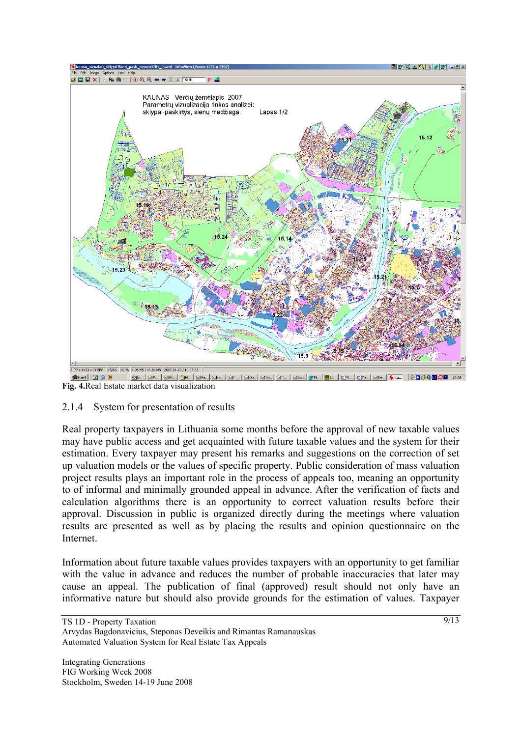

**Fig. 4.**Real Estate market data visualization

#### 2.1.4 System for presentation of results

Real property taxpayers in Lithuania some months before the approval of new taxable values may have public access and get acquainted with future taxable values and the system for their estimation. Every taxpayer may present his remarks and suggestions on the correction of set up valuation models or the values of specific property. Public consideration of mass valuation project results plays an important role in the process of appeals too, meaning an opportunity to of informal and minimally grounded appeal in advance. After the verification of facts and calculation algorithms there is an opportunity to correct valuation results before their approval. Discussion in public is organized directly during the meetings where valuation results are presented as well as by placing the results and opinion questionnaire on the Internet.

Information about future taxable values provides taxpayers with an opportunity to get familiar with the value in advance and reduces the number of probable inaccuracies that later may cause an appeal. The publication of final (approved) result should not only have an informative nature but should also provide grounds for the estimation of values. Taxpayer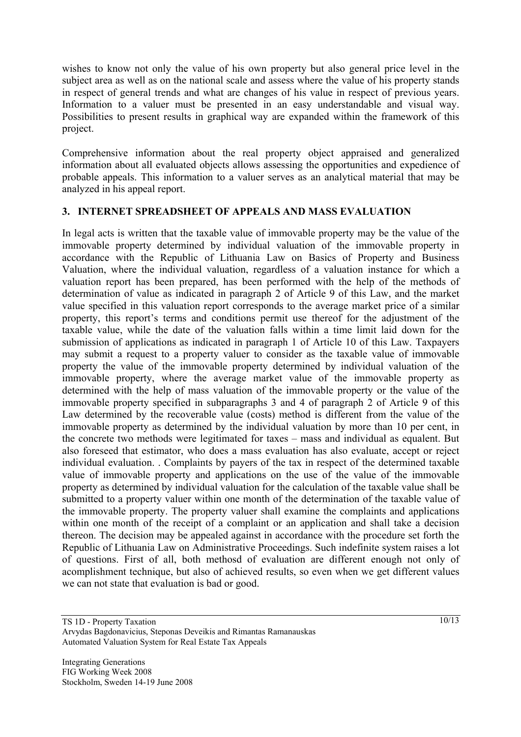wishes to know not only the value of his own property but also general price level in the subject area as well as on the national scale and assess where the value of his property stands in respect of general trends and what are changes of his value in respect of previous years. Information to a valuer must be presented in an easy understandable and visual way. Possibilities to present results in graphical way are expanded within the framework of this project.

Comprehensive information about the real property object appraised and generalized information about all evaluated objects allows assessing the opportunities and expedience of probable appeals. This information to a valuer serves as an analytical material that may be analyzed in his appeal report.

#### **3. INTERNET SPREADSHEET OF APPEALS AND MASS EVALUATION**

In legal acts is written that the taxable value of immovable property may be the value of the immovable property determined by individual valuation of the immovable property in accordance with the Republic of Lithuania Law on Basics of Property and Business Valuation, where the individual valuation, regardless of a valuation instance for which a valuation report has been prepared, has been performed with the help of the methods of determination of value as indicated in paragraph 2 of Article 9 of this Law, and the market value specified in this valuation report corresponds to the average market price of a similar property, this report's terms and conditions permit use thereof for the adjustment of the taxable value, while the date of the valuation falls within a time limit laid down for the submission of applications as indicated in paragraph 1 of Article 10 of this Law. Taxpayers may submit a request to a property valuer to consider as the taxable value of immovable property the value of the immovable property determined by individual valuation of the immovable property, where the average market value of the immovable property as determined with the help of mass valuation of the immovable property or the value of the immovable property specified in subparagraphs 3 and 4 of paragraph 2 of Article 9 of this Law determined by the recoverable value (costs) method is different from the value of the immovable property as determined by the individual valuation by more than 10 per cent, in the concrete two methods were legitimated for taxes – mass and individual as equalent. But also foreseed that estimator, who does a mass evaluation has also evaluate, accept or reject individual evaluation. . Complaints by payers of the tax in respect of the determined taxable value of immovable property and applications on the use of the value of the immovable property as determined by individual valuation for the calculation of the taxable value shall be submitted to a property valuer within one month of the determination of the taxable value of the immovable property. The property valuer shall examine the complaints and applications within one month of the receipt of a complaint or an application and shall take a decision thereon. The decision may be appealed against in accordance with the procedure set forth the Republic of Lithuania Law on Administrative Proceedings. Such indefinite system raises a lot of questions. First of all, both methosd of evaluation are different enough not only of acomplishment technique, but also of achieved results, so even when we get different values we can not state that evaluation is bad or good.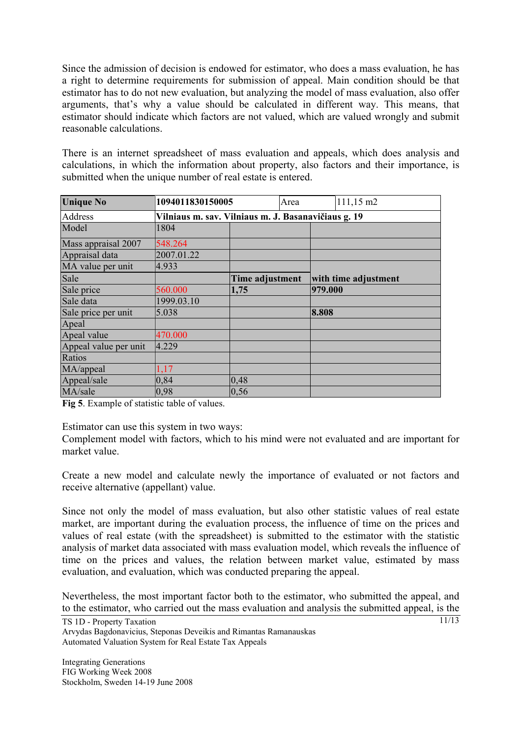Since the admission of decision is endowed for estimator, who does a mass evaluation, he has a right to determine requirements for submission of appeal. Main condition should be that estimator has to do not new evaluation, but analyzing the model of mass evaluation, also offer arguments, that's why a value should be calculated in different way. This means, that estimator should indicate which factors are not valued, which are valued wrongly and submit reasonable calculations.

There is an internet spreadsheet of mass evaluation and appeals, which does analysis and calculations, in which the information about property, also factors and their importance, is submitted when the unique number of real estate is entered.

| <b>Unique No</b>      | 1094011830150005                                    |                 | Area |         | 111,15 m2            |  |  |
|-----------------------|-----------------------------------------------------|-----------------|------|---------|----------------------|--|--|
| Address               | Vilniaus m. sav. Vilniaus m. J. Basanavičiaus g. 19 |                 |      |         |                      |  |  |
| Model                 | 1804                                                |                 |      |         |                      |  |  |
| Mass appraisal 2007   | 548.264                                             |                 |      |         |                      |  |  |
| Appraisal data        | 2007.01.22                                          |                 |      |         |                      |  |  |
| MA value per unit     | 4.933                                               |                 |      |         |                      |  |  |
| Sale                  |                                                     | Time adjustment |      |         | with time adjustment |  |  |
| Sale price            | 560.000                                             | 1,75            |      | 979.000 |                      |  |  |
| Sale data             | 1999.03.10                                          |                 |      |         |                      |  |  |
| Sale price per unit   | 5.038                                               |                 |      | 8.808   |                      |  |  |
| Apeal                 |                                                     |                 |      |         |                      |  |  |
| Apeal value           | 470.000                                             |                 |      |         |                      |  |  |
| Appeal value per unit | 4.229                                               |                 |      |         |                      |  |  |
| Ratios                |                                                     |                 |      |         |                      |  |  |
| MA/appeal             | 1,17                                                |                 |      |         |                      |  |  |
| Appeal/sale           | 0,84                                                | 0,48            |      |         |                      |  |  |
| MA/sale               | 0,98                                                | 0, 56           |      |         |                      |  |  |

**Fig 5**. Example of statistic table of values.

Estimator can use this system in two ways:

Complement model with factors, which to his mind were not evaluated and are important for market value.

Create a new model and calculate newly the importance of evaluated or not factors and receive alternative (appellant) value.

Since not only the model of mass evaluation, but also other statistic values of real estate market, are important during the evaluation process, the influence of time on the prices and values of real estate (with the spreadsheet) is submitted to the estimator with the statistic analysis of market data associated with mass evaluation model, which reveals the influence of time on the prices and values, the relation between market value, estimated by mass evaluation, and evaluation, which was conducted preparing the appeal.

Nevertheless, the most important factor both to the estimator, who submitted the appeal, and to the estimator, who carried out the mass evaluation and analysis the submitted appeal, is the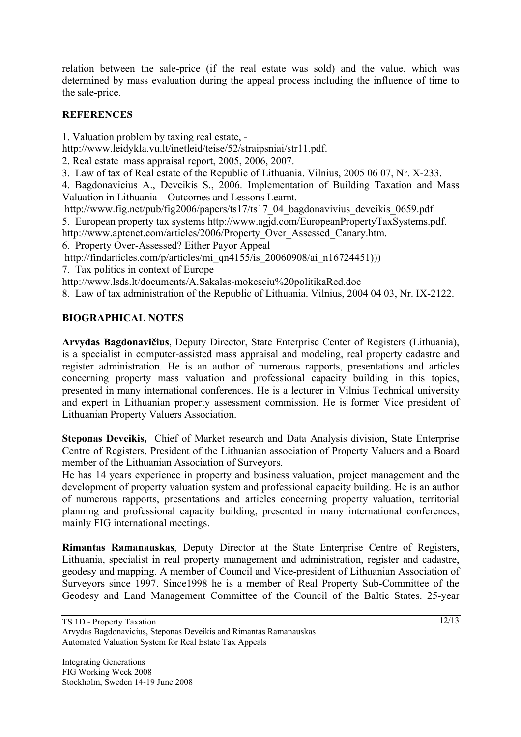relation between the sale-price (if the real estate was sold) and the value, which was determined by mass evaluation during the appeal process including the influence of time to the sale-price.

## **REFERENCES**

1. Valuation problem by taxing real estate, -

http://www.leidykla.vu.lt/inetleid/teise/52/straipsniai/str11.pdf.

2. Real estate mass appraisal report, 2005, 2006, 2007.

3. Law of tax of Real estate of the Republic of Lithuania. Vilnius, 2005 06 07, Nr. X-233.

4. Bagdonavicius A., Deveikis S., 2006. Implementation of Building Taxation and Mass Valuation in Lithuania – Outcomes and Lessons Learnt.

http://www.fig.net/pub/fig2006/papers/ts17/ts17\_04\_bagdonavivius\_deveikis\_0659.pdf

5. European property tax systems http://www.agjd.com/EuropeanPropertyTaxSystems.pdf.

http://www.aptcnet.com/articles/2006/Property\_Over\_Assessed\_Canary.htm.

6. Property Over-Assessed? Either Payor Appeal

http://findarticles.com/p/articles/mi\_qn4155/is\_20060908/ai\_n16724451)))

7. Tax politics in context of Europe

http://www.lsds.lt/documents/A.Sakalas-mokesciu%20politikaRed.doc

8. Law of tax administration of the Republic of Lithuania. Vilnius, 2004 04 03, Nr. IX-2122.

## **BIOGRAPHICAL NOTES**

**Arvydas Bagdonavičius**, Deputy Director, State Enterprise Center of Registers (Lithuania), is a specialist in computer-assisted mass appraisal and modeling, real property cadastre and register administration. He is an author of numerous rapports, presentations and articles concerning property mass valuation and professional capacity building in this topics, presented in many international conferences. He is a lecturer in Vilnius Technical university and expert in Lithuanian property assessment commission. He is former Vice president of Lithuanian Property Valuers Association.

**Steponas Deveikis,** Chief of Market research and Data Analysis division, State Enterprise Centre of Registers, President of the Lithuanian association of Property Valuers and a Board member of the Lithuanian Association of Surveyors.

He has 14 years experience in property and business valuation, project management and the development of property valuation system and professional capacity building. He is an author of numerous rapports, presentations and articles concerning property valuation, territorial planning and professional capacity building, presented in many international conferences, mainly FIG international meetings.

**Rimantas Ramanauskas**, Deputy Director at the State Enterprise Centre of Registers, Lithuania, specialist in real property management and administration, register and cadastre, geodesy and mapping. A member of Council and Vice-president of Lithuanian Association of Surveyors since 1997. Since1998 he is a member of Real Property Sub-Committee of the Geodesy and Land Management Committee of the Council of the Baltic States. 25-year